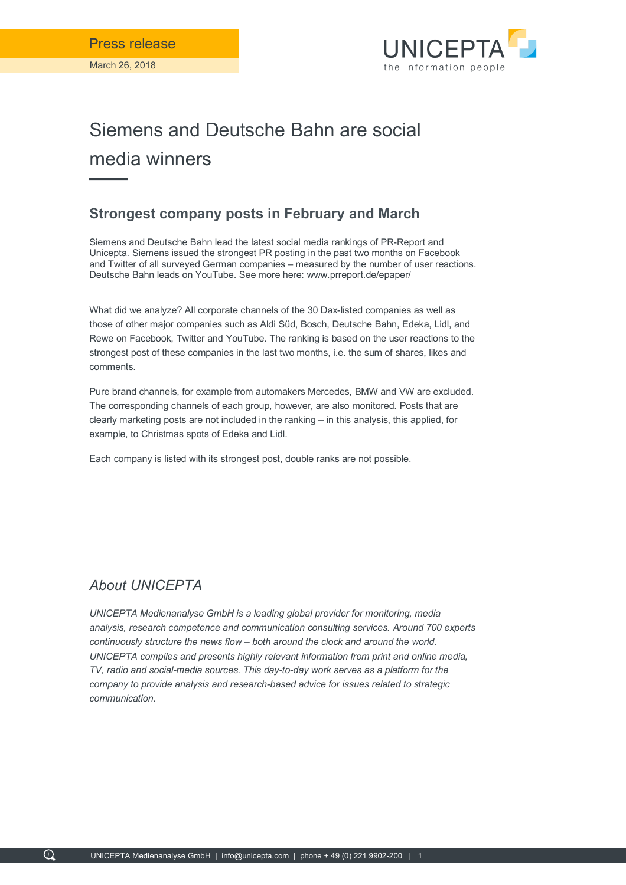

## Siemens and Deutsche Bahn are social media winners

## **Strongest company posts in February and March**

Siemens and Deutsche Bahn lead the latest social media rankings of PR-Report and Unicepta. Siemens issued the strongest PR posting in the past two months on Facebook and Twitter of all surveyed German companies – measured by the number of user reactions. Deutsche Bahn leads on YouTube. See more here: www.prreport.de/epaper/

What did we analyze? All corporate channels of the 30 Dax-listed companies as well as those of other major companies such as Aldi Süd, Bosch, Deutsche Bahn, Edeka, Lidl, and Rewe on Facebook, Twitter and YouTube. The ranking is based on the user reactions to the strongest post of these companies in the last two months, i.e. the sum of shares, likes and comments.

Pure brand channels, for example from automakers Mercedes, BMW and VW are excluded. The corresponding channels of each group, however, are also monitored. Posts that are clearly marketing posts are not included in the ranking – in this analysis, this applied, for example, to Christmas spots of Edeka and Lidl.

Each company is listed with its strongest post, double ranks are not possible.

## *About UNICEPTA*

 $\Omega$ 

*UNICEPTA Medienanalyse GmbH is a leading global provider for monitoring, media analysis, research competence and communication consulting services. Around 700 experts continuously structure the news flow – both around the clock and around the world. UNICEPTA compiles and presents highly relevant information from print and online media, TV, radio and social-media sources. This day-to-day work serves as a platform for the company to provide analysis and research-based advice for issues related to strategic communication.*